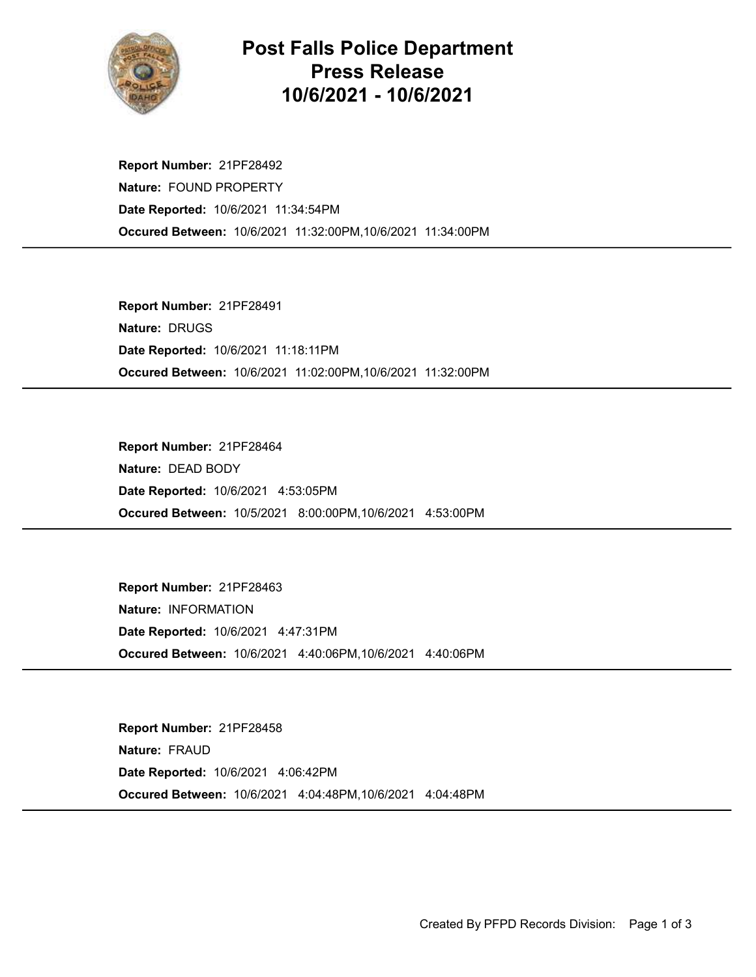

## Post Falls Police Department Press Release 10/6/2021 - 10/6/2021

Occured Between: 10/6/2021 11:32:00PM,10/6/2021 11:34:00PM Report Number: 21PF28492 Nature: FOUND PROPERTY Date Reported: 10/6/2021 11:34:54PM

Occured Between: 10/6/2021 11:02:00PM,10/6/2021 11:32:00PM Report Number: 21PF28491 Nature: DRUGS Date Reported: 10/6/2021 11:18:11PM

Occured Between: 10/5/2021 8:00:00PM,10/6/2021 4:53:00PM Report Number: 21PF28464 Nature: DEAD BODY Date Reported: 10/6/2021 4:53:05PM

Occured Between: 10/6/2021 4:40:06PM,10/6/2021 4:40:06PM Report Number: 21PF28463 Nature: INFORMATION Date Reported: 10/6/2021 4:47:31PM

Occured Between: 10/6/2021 4:04:48PM,10/6/2021 4:04:48PM Report Number: 21PF28458 Nature: FRAUD Date Reported: 10/6/2021 4:06:42PM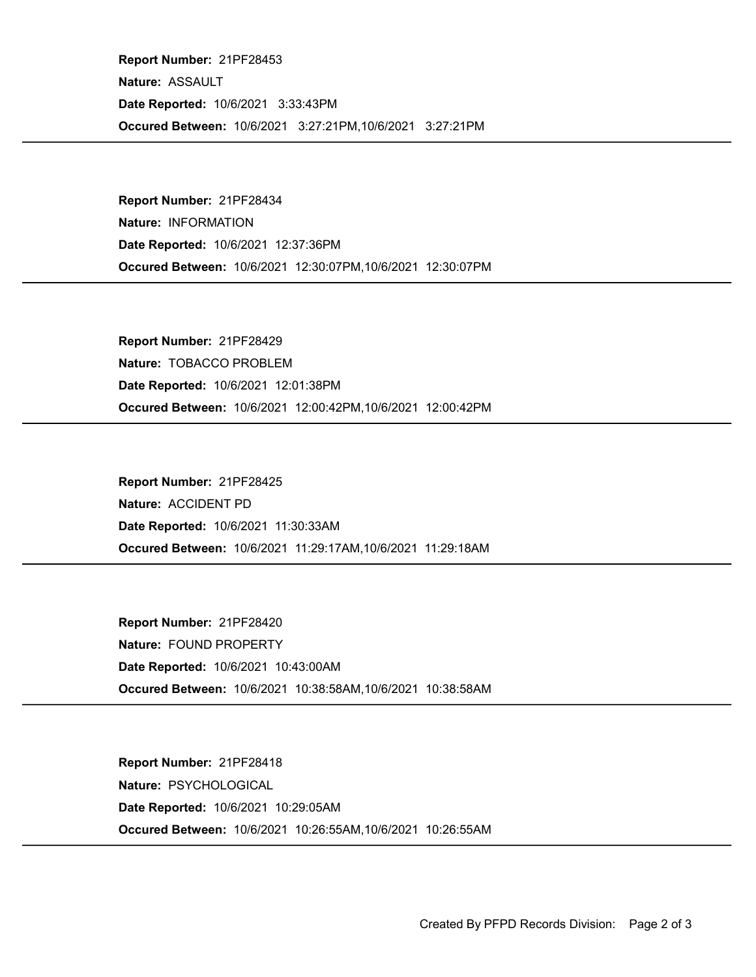Occured Between: 10/6/2021 3:27:21PM,10/6/2021 3:27:21PM Report Number: 21PF28453 Nature: ASSAULT Date Reported: 10/6/2021 3:33:43PM

Occured Between: 10/6/2021 12:30:07PM,10/6/2021 12:30:07PM Report Number: 21PF28434 Nature: INFORMATION Date Reported: 10/6/2021 12:37:36PM

Occured Between: 10/6/2021 12:00:42PM,10/6/2021 12:00:42PM Report Number: 21PF28429 Nature: TOBACCO PROBLEM Date Reported: 10/6/2021 12:01:38PM

Occured Between: 10/6/2021 11:29:17AM,10/6/2021 11:29:18AM Report Number: 21PF28425 Nature: ACCIDENT PD Date Reported: 10/6/2021 11:30:33AM

Occured Between: 10/6/2021 10:38:58AM,10/6/2021 10:38:58AM Report Number: 21PF28420 Nature: FOUND PROPERTY Date Reported: 10/6/2021 10:43:00AM

Occured Between: 10/6/2021 10:26:55AM,10/6/2021 10:26:55AM Report Number: 21PF28418 Nature: PSYCHOLOGICAL Date Reported: 10/6/2021 10:29:05AM